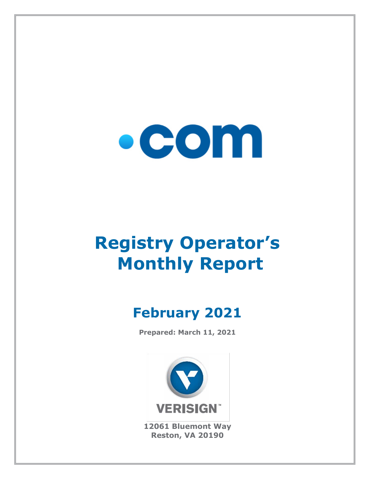

# **Registry Operator's Monthly Report**

## **February 2021**

**Prepared: March 11, 2021**



**12061 Bluemont Way Reston, VA 20190**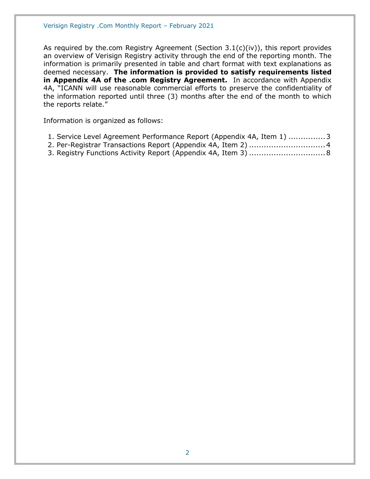As required by the.com Registry Agreement (Section 3.1(c)(iv)), this report provides an overview of Verisign Registry activity through the end of the reporting month. The information is primarily presented in table and chart format with text explanations as deemed necessary. **The information is provided to satisfy requirements listed in Appendix 4A of the .com Registry Agreement.** In accordance with Appendix 4A, "ICANN will use reasonable commercial efforts to preserve the confidentiality of the information reported until three (3) months after the end of the month to which the reports relate."

Information is organized as follows:

- [1. Service Level Agreement Performance Report \(Appendix 4A, Item 1\)](#page-2-0) ...............3
- [2. Per-Registrar Transactions Report \(Appendix 4A,](#page-3-0) Item 2) ...............................4
- [3. Registry Functions Activity Report \(Appendix 4A, Item 3\)](#page-7-0) ...............................8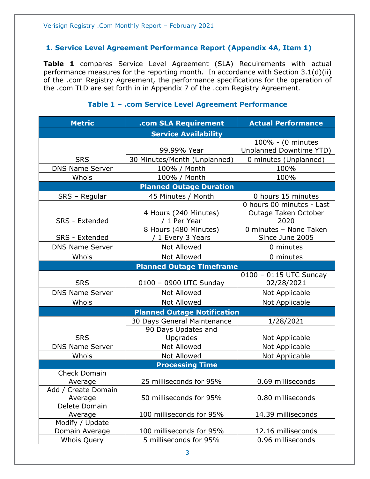#### <span id="page-2-0"></span>**1. Service Level Agreement Performance Report (Appendix 4A, Item 1)**

**Table 1** compares Service Level Agreement (SLA) Requirements with actual performance measures for the reporting month. In accordance with Section 3.1(d)(ii) of the .com Registry Agreement, the performance specifications for the operation of the .com TLD are set forth in in Appendix 7 of the .com Registry Agreement.

#### **Metric .com SLA Requirement Actual Performance Service Availability** SRS 99.99% Year 100% - (0 minutes Unplanned Downtime YTD) 30 Minutes/Month (Unplanned) | 0 minutes (Unplanned) DNS Name Server | 100% / Month | 100% Whois 100% / Month 100% 100% **Planned Outage Duration** SRS – Regular | 45 Minutes / Month | 0 hours 15 minutes SRS - Extended 4 Hours (240 Minutes) / 1 Per Year 0 hours 00 minutes - Last Outage Taken October 2020 SRS - Extended 8 Hours (480 Minutes) / 1 Every 3 Years 0 minutes – None Taken Since June 2005 DNS Name Server  $\begin{array}{ccc} \hline \text{Not} & \text{Allowed} & \text{O} & \text{O} \\ \hline \end{array}$ Whois  $\vert$  Not Allowed  $\vert$  0 minutes **Planned Outage Timeframe** SRS | 0100 – 0900 UTC Sunday 0100 – 0115 UTC Sunday 02/28/2021 DNS Name Server Not Allowed Not Applicable Whois  $\vert$  Not Allowed  $\vert$  Not Applicable **Planned Outage Notification SRS** 30 Days General Maintenance 1/28/2021 90 Days Updates and Upgrades | Not Applicable DNS Name Server | Not Allowed | Not Applicable Whois | Not Allowed | Not Applicable **Processing Time** Check Domain Average 25 milliseconds for 95% 0.69 milliseconds Add / Create Domain Average 1.1 50 milliseconds for 95% 1.500 milliseconds Delete Domain Average 100 milliseconds for 95% 14.39 milliseconds Modify / Update Domain Average 100 milliseconds for 95% 12.16 milliseconds Whois Ouery **1** 5 milliseconds for 95% 1 0.96 milliseconds

#### **Table 1 – .com Service Level Agreement Performance**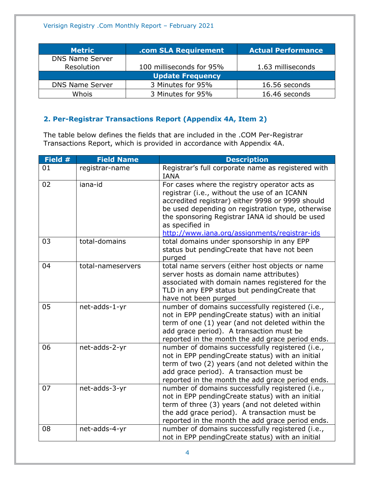| <b>Metric</b>           | .com SLA Requirement     | <b>Actual Performance</b> |  |
|-------------------------|--------------------------|---------------------------|--|
| <b>DNS Name Server</b>  |                          |                           |  |
| Resolution              | 100 milliseconds for 95% | 1.63 milliseconds         |  |
| <b>Update Frequency</b> |                          |                           |  |
| <b>DNS Name Server</b>  | 3 Minutes for 95%        | 16.56 seconds             |  |
| Whois                   | 3 Minutes for 95%        | 16.46 seconds             |  |

### <span id="page-3-0"></span>**2. Per-Registrar Transactions Report (Appendix 4A, Item 2)**

The table below defines the fields that are included in the .COM Per-Registrar Transactions Report, which is provided in accordance with Appendix 4A.

| Field # | <b>Field Name</b> | <b>Description</b>                                                                                                                                                                                                                                                                                                            |
|---------|-------------------|-------------------------------------------------------------------------------------------------------------------------------------------------------------------------------------------------------------------------------------------------------------------------------------------------------------------------------|
| 01      | registrar-name    | Registrar's full corporate name as registered with<br><b>IANA</b>                                                                                                                                                                                                                                                             |
| 02      | iana-id           | For cases where the registry operator acts as<br>registrar (i.e., without the use of an ICANN<br>accredited registrar) either 9998 or 9999 should<br>be used depending on registration type, otherwise<br>the sponsoring Registrar IANA id should be used<br>as specified in<br>http://www.iana.org/assignments/registrar-ids |
| 03      | total-domains     | total domains under sponsorship in any EPP<br>status but pendingCreate that have not been<br>purged                                                                                                                                                                                                                           |
| 04      | total-nameservers | total name servers (either host objects or name<br>server hosts as domain name attributes)<br>associated with domain names registered for the<br>TLD in any EPP status but pendingCreate that<br>have not been purged                                                                                                         |
| 05      | net-adds-1-yr     | number of domains successfully registered (i.e.,<br>not in EPP pendingCreate status) with an initial<br>term of one (1) year (and not deleted within the<br>add grace period). A transaction must be<br>reported in the month the add grace period ends.                                                                      |
| 06      | net-adds-2-yr     | number of domains successfully registered (i.e.,<br>not in EPP pendingCreate status) with an initial<br>term of two (2) years (and not deleted within the<br>add grace period). A transaction must be<br>reported in the month the add grace period ends.                                                                     |
| 07      | net-adds-3-yr     | number of domains successfully registered (i.e.,<br>not in EPP pendingCreate status) with an initial<br>term of three (3) years (and not deleted within<br>the add grace period). A transaction must be<br>reported in the month the add grace period ends.                                                                   |
| 08      | net-adds-4-yr     | number of domains successfully registered (i.e.,<br>not in EPP pendingCreate status) with an initial                                                                                                                                                                                                                          |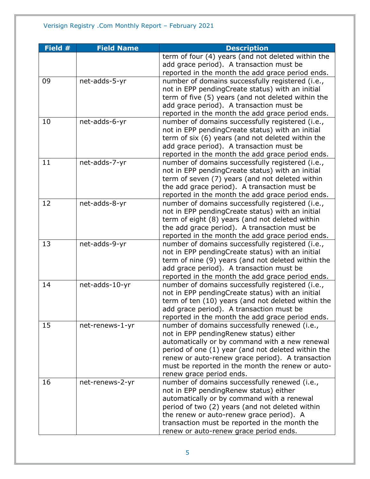| Field # | <b>Field Name</b> | <b>Description</b>                                 |
|---------|-------------------|----------------------------------------------------|
|         |                   | term of four (4) years (and not deleted within the |
|         |                   | add grace period). A transaction must be           |
|         |                   | reported in the month the add grace period ends.   |
| 09      | net-adds-5-yr     | number of domains successfully registered (i.e.,   |
|         |                   | not in EPP pendingCreate status) with an initial   |
|         |                   | term of five (5) years (and not deleted within the |
|         |                   | add grace period). A transaction must be           |
|         |                   | reported in the month the add grace period ends.   |
| 10      | net-adds-6-yr     | number of domains successfully registered (i.e.,   |
|         |                   | not in EPP pendingCreate status) with an initial   |
|         |                   | term of six (6) years (and not deleted within the  |
|         |                   | add grace period). A transaction must be           |
|         |                   | reported in the month the add grace period ends.   |
| 11      | net-adds-7-yr     | number of domains successfully registered (i.e.,   |
|         |                   | not in EPP pendingCreate status) with an initial   |
|         |                   | term of seven (7) years (and not deleted within    |
|         |                   | the add grace period). A transaction must be       |
|         |                   | reported in the month the add grace period ends.   |
| 12      | net-adds-8-yr     | number of domains successfully registered (i.e.,   |
|         |                   | not in EPP pendingCreate status) with an initial   |
|         |                   | term of eight (8) years (and not deleted within    |
|         |                   | the add grace period). A transaction must be       |
|         |                   | reported in the month the add grace period ends.   |
| 13      | net-adds-9-yr     | number of domains successfully registered (i.e.,   |
|         |                   | not in EPP pendingCreate status) with an initial   |
|         |                   | term of nine (9) years (and not deleted within the |
|         |                   | add grace period). A transaction must be           |
|         |                   | reported in the month the add grace period ends.   |
| 14      | net-adds-10-yr    | number of domains successfully registered (i.e.,   |
|         |                   | not in EPP pendingCreate status) with an initial   |
|         |                   | term of ten (10) years (and not deleted within the |
|         |                   | add grace period). A transaction must be           |
|         |                   | reported in the month the add grace period ends.   |
| 15      | net-renews-1-yr   | number of domains successfully renewed (i.e.,      |
|         |                   | not in EPP pendingRenew status) either             |
|         |                   | automatically or by command with a new renewal     |
|         |                   | period of one (1) year (and not deleted within the |
|         |                   | renew or auto-renew grace period). A transaction   |
|         |                   | must be reported in the month the renew or auto-   |
|         |                   | renew grace period ends.                           |
| 16      | net-renews-2-yr   | number of domains successfully renewed (i.e.,      |
|         |                   | not in EPP pending Renew status) either            |
|         |                   | automatically or by command with a renewal         |
|         |                   | period of two (2) years (and not deleted within    |
|         |                   | the renew or auto-renew grace period). A           |
|         |                   | transaction must be reported in the month the      |
|         |                   | renew or auto-renew grace period ends.             |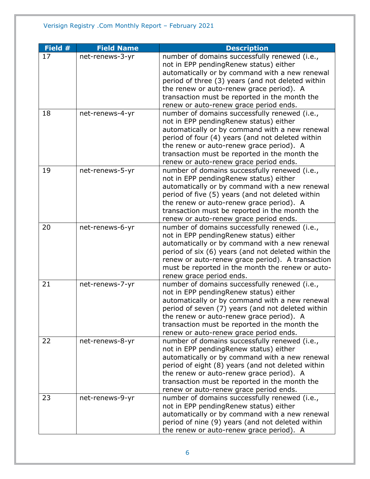| Field # | <b>Field Name</b> | <b>Description</b>                                                                                                                                                                                                                                                                                                                    |
|---------|-------------------|---------------------------------------------------------------------------------------------------------------------------------------------------------------------------------------------------------------------------------------------------------------------------------------------------------------------------------------|
| 17      | net-renews-3-yr   | number of domains successfully renewed (i.e.,<br>not in EPP pendingRenew status) either<br>automatically or by command with a new renewal<br>period of three (3) years (and not deleted within                                                                                                                                        |
|         |                   | the renew or auto-renew grace period). A<br>transaction must be reported in the month the<br>renew or auto-renew grace period ends.                                                                                                                                                                                                   |
| 18      | net-renews-4-yr   | number of domains successfully renewed (i.e.,<br>not in EPP pendingRenew status) either<br>automatically or by command with a new renewal<br>period of four (4) years (and not deleted within<br>the renew or auto-renew grace period). A<br>transaction must be reported in the month the<br>renew or auto-renew grace period ends.  |
| 19      | net-renews-5-yr   | number of domains successfully renewed (i.e.,<br>not in EPP pendingRenew status) either<br>automatically or by command with a new renewal<br>period of five (5) years (and not deleted within<br>the renew or auto-renew grace period). A<br>transaction must be reported in the month the<br>renew or auto-renew grace period ends.  |
| 20      | net-renews-6-yr   | number of domains successfully renewed (i.e.,<br>not in EPP pendingRenew status) either<br>automatically or by command with a new renewal<br>period of six (6) years (and not deleted within the<br>renew or auto-renew grace period). A transaction<br>must be reported in the month the renew or auto-<br>renew grace period ends.  |
| 21      | net-renews-7-yr   | number of domains successfully renewed (i.e.,<br>not in EPP pendingRenew status) either<br>automatically or by command with a new renewal<br>period of seven (7) years (and not deleted within<br>the renew or auto-renew grace period). A<br>transaction must be reported in the month the<br>renew or auto-renew grace period ends. |
| 22      | net-renews-8-yr   | number of domains successfully renewed (i.e.,<br>not in EPP pendingRenew status) either<br>automatically or by command with a new renewal<br>period of eight (8) years (and not deleted within<br>the renew or auto-renew grace period). A<br>transaction must be reported in the month the<br>renew or auto-renew grace period ends. |
| 23      | net-renews-9-yr   | number of domains successfully renewed (i.e.,<br>not in EPP pendingRenew status) either<br>automatically or by command with a new renewal<br>period of nine (9) years (and not deleted within<br>the renew or auto-renew grace period). A                                                                                             |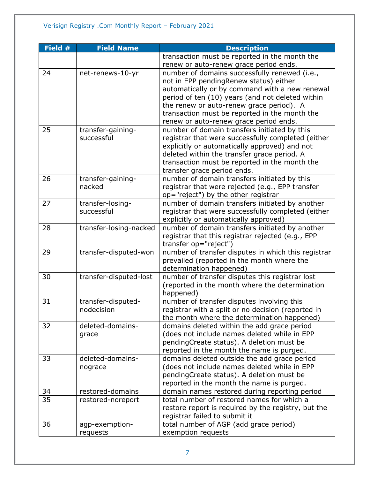| Field # | <b>Field Name</b>      | <b>Description</b>                                  |
|---------|------------------------|-----------------------------------------------------|
|         |                        | transaction must be reported in the month the       |
|         |                        | renew or auto-renew grace period ends.              |
| 24      | net-renews-10-yr       | number of domains successfully renewed (i.e.,       |
|         |                        | not in EPP pendingRenew status) either              |
|         |                        | automatically or by command with a new renewal      |
|         |                        | period of ten (10) years (and not deleted within    |
|         |                        | the renew or auto-renew grace period). A            |
|         |                        | transaction must be reported in the month the       |
|         |                        | renew or auto-renew grace period ends.              |
| 25      | transfer-gaining-      | number of domain transfers initiated by this        |
|         | successful             | registrar that were successfully completed (either  |
|         |                        | explicitly or automatically approved) and not       |
|         |                        | deleted within the transfer grace period. A         |
|         |                        | transaction must be reported in the month the       |
|         |                        | transfer grace period ends.                         |
| 26      | transfer-gaining-      | number of domain transfers initiated by this        |
|         | nacked                 | registrar that were rejected (e.g., EPP transfer    |
|         |                        | op="reject") by the other registrar                 |
| 27      | transfer-losing-       | number of domain transfers initiated by another     |
|         | successful             | registrar that were successfully completed (either  |
|         |                        | explicitly or automatically approved)               |
| 28      | transfer-losing-nacked | number of domain transfers initiated by another     |
|         |                        | registrar that this registrar rejected (e.g., EPP   |
|         |                        | transfer op="reject")                               |
| 29      | transfer-disputed-won  | number of transfer disputes in which this registrar |
|         |                        | prevailed (reported in the month where the          |
|         |                        | determination happened)                             |
| 30      | transfer-disputed-lost | number of transfer disputes this registrar lost     |
|         |                        | (reported in the month where the determination      |
|         |                        | happened)                                           |
| 31      | transfer-disputed-     | number of transfer disputes involving this          |
|         | nodecision             | registrar with a split or no decision (reported in  |
|         |                        | the month where the determination happened)         |
| 32      | deleted-domains-       | domains deleted within the add grace period         |
|         | grace                  | (does not include names deleted while in EPP        |
|         |                        | pendingCreate status). A deletion must be           |
|         |                        | reported in the month the name is purged.           |
| 33      | deleted-domains-       | domains deleted outside the add grace period        |
|         | nograce                | (does not include names deleted while in EPP        |
|         |                        | pendingCreate status). A deletion must be           |
|         |                        | reported in the month the name is purged.           |
| 34      | restored-domains       | domain names restored during reporting period       |
| 35      | restored-noreport      | total number of restored names for which a          |
|         |                        | restore report is required by the registry, but the |
|         |                        | registrar failed to submit it                       |
| 36      | agp-exemption-         | total number of AGP (add grace period)              |
|         | requests               | exemption requests                                  |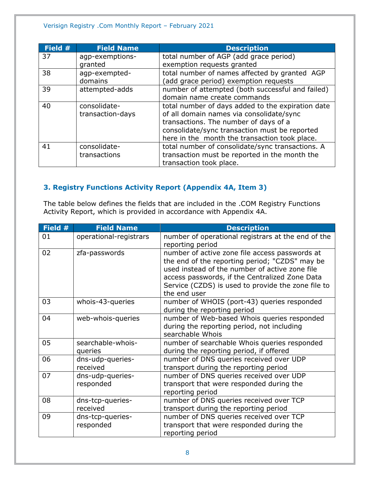#### Verisign Registry .Com Monthly Report – February 2021

| Field # | <b>Field Name</b> | <b>Description</b>                                |
|---------|-------------------|---------------------------------------------------|
| 37      | agp-exemptions-   | total number of AGP (add grace period)            |
|         | granted           | exemption requests granted                        |
| 38      | agp-exempted-     | total number of names affected by granted AGP     |
|         | domains           | (add grace period) exemption requests             |
| 39      | attempted-adds    | number of attempted (both successful and failed)  |
|         |                   | domain name create commands                       |
| 40      | consolidate-      | total number of days added to the expiration date |
|         | transaction-days  | of all domain names via consolidate/sync          |
|         |                   | transactions. The number of days of a             |
|         |                   | consolidate/sync transaction must be reported     |
|         |                   | here in the month the transaction took place.     |
| 41      | consolidate-      | total number of consolidate/sync transactions. A  |
|         | transactions      | transaction must be reported in the month the     |
|         |                   | transaction took place.                           |

### <span id="page-7-0"></span>**3. Registry Functions Activity Report (Appendix 4A, Item 3)**

The table below defines the fields that are included in the .COM Registry Functions Activity Report, which is provided in accordance with Appendix 4A.

| Field # | <b>Field Name</b>             | <b>Description</b>                                                                                                                                                                                                                                                         |
|---------|-------------------------------|----------------------------------------------------------------------------------------------------------------------------------------------------------------------------------------------------------------------------------------------------------------------------|
| 01      | operational-registrars        | number of operational registrars at the end of the<br>reporting period                                                                                                                                                                                                     |
| 02      | zfa-passwords                 | number of active zone file access passwords at<br>the end of the reporting period; "CZDS" may be<br>used instead of the number of active zone file<br>access passwords, if the Centralized Zone Data<br>Service (CZDS) is used to provide the zone file to<br>the end user |
| 03      | whois-43-queries              | number of WHOIS (port-43) queries responded<br>during the reporting period                                                                                                                                                                                                 |
| 04      | web-whois-queries             | number of Web-based Whois queries responded<br>during the reporting period, not including<br>searchable Whois                                                                                                                                                              |
| 05      | searchable-whois-<br>queries  | number of searchable Whois queries responded<br>during the reporting period, if offered                                                                                                                                                                                    |
| 06      | dns-udp-queries-<br>received  | number of DNS queries received over UDP<br>transport during the reporting period                                                                                                                                                                                           |
| 07      | dns-udp-queries-<br>responded | number of DNS queries received over UDP<br>transport that were responded during the<br>reporting period                                                                                                                                                                    |
| 08      | dns-tcp-queries-<br>received  | number of DNS queries received over TCP<br>transport during the reporting period                                                                                                                                                                                           |
| 09      | dns-tcp-queries-<br>responded | number of DNS queries received over TCP<br>transport that were responded during the<br>reporting period                                                                                                                                                                    |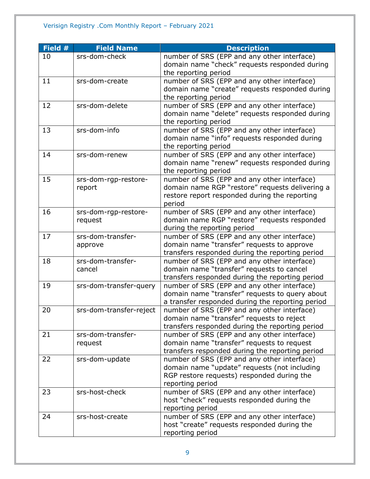#### Verisign Registry .Com Monthly Report – February 2021

| Field # | <b>Field Name</b>       | <b>Description</b>                               |
|---------|-------------------------|--------------------------------------------------|
| 10      | srs-dom-check           | number of SRS (EPP and any other interface)      |
|         |                         | domain name "check" requests responded during    |
|         |                         | the reporting period                             |
| 11      | srs-dom-create          | number of SRS (EPP and any other interface)      |
|         |                         | domain name "create" requests responded during   |
|         |                         | the reporting period                             |
| 12      | srs-dom-delete          | number of SRS (EPP and any other interface)      |
|         |                         | domain name "delete" requests responded during   |
|         |                         | the reporting period                             |
| 13      | srs-dom-info            | number of SRS (EPP and any other interface)      |
|         |                         | domain name "info" requests responded during     |
|         |                         | the reporting period                             |
| 14      | srs-dom-renew           | number of SRS (EPP and any other interface)      |
|         |                         | domain name "renew" requests responded during    |
|         |                         | the reporting period                             |
| 15      | srs-dom-rgp-restore-    | number of SRS (EPP and any other interface)      |
|         | report                  | domain name RGP "restore" requests delivering a  |
|         |                         | restore report responded during the reporting    |
|         |                         | period                                           |
| 16      | srs-dom-rgp-restore-    | number of SRS (EPP and any other interface)      |
|         | request                 | domain name RGP "restore" requests responded     |
|         |                         | during the reporting period                      |
| 17      | srs-dom-transfer-       | number of SRS (EPP and any other interface)      |
|         | approve                 | domain name "transfer" requests to approve       |
|         |                         | transfers responded during the reporting period  |
| 18      | srs-dom-transfer-       | number of SRS (EPP and any other interface)      |
|         | cancel                  | domain name "transfer" requests to cancel        |
|         |                         | transfers responded during the reporting period  |
| 19      | srs-dom-transfer-query  | number of SRS (EPP and any other interface)      |
|         |                         | domain name "transfer" requests to query about   |
|         |                         | a transfer responded during the reporting period |
| 20      | srs-dom-transfer-reject | number of SRS (EPP and any other interface)      |
|         |                         | domain name "transfer" requests to reject        |
|         |                         | transfers responded during the reporting period  |
| 21      | srs-dom-transfer-       | number of SRS (EPP and any other interface)      |
|         | request                 | domain name "transfer" requests to request       |
|         |                         | transfers responded during the reporting period  |
| 22      | srs-dom-update          | number of SRS (EPP and any other interface)      |
|         |                         | domain name "update" requests (not including     |
|         |                         | RGP restore requests) responded during the       |
|         |                         | reporting period                                 |
| 23      | srs-host-check          | number of SRS (EPP and any other interface)      |
|         |                         | host "check" requests responded during the       |
|         |                         | reporting period                                 |
| 24      | srs-host-create         | number of SRS (EPP and any other interface)      |
|         |                         | host "create" requests responded during the      |
|         |                         | reporting period                                 |